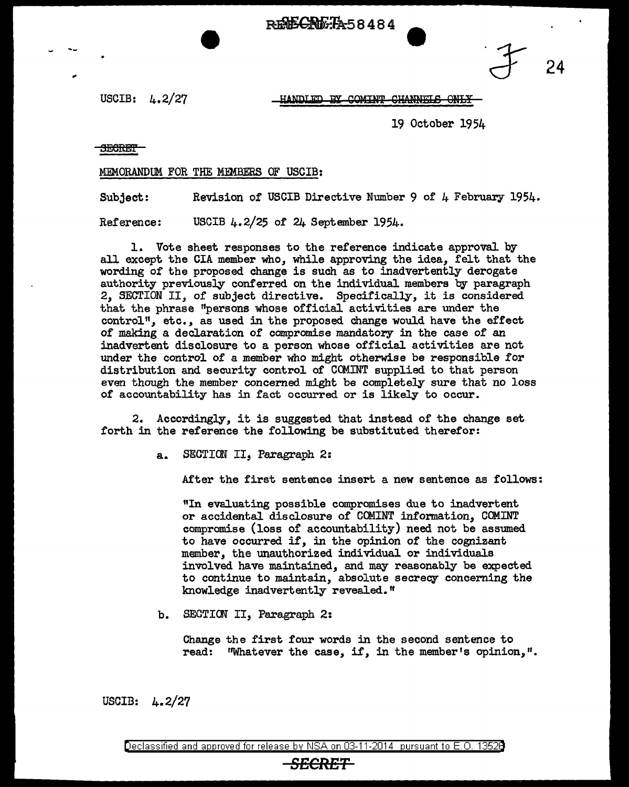**REECRETA58484** 

USCIB: 4.2/27

HANDLED BY COMINT CHANNELS ONLY

19 October 1954

<del>SECRET</del>

## MEMORANDUM FOR THE MEMBERS OF USCIB:

Subject: Revision of USCIB Directive Number 9 of 4 February 1954.

Reference: USCIB 4.2/25 or 24 September 1954.

1. Vote sheet responses to the reference indicate approval by all except the CIA member who, while approving the idea, felt that the wording of the proposed change is such as to inadvertently derogate authority previously conferred on the individual members by paragraph 2, SECTION II, of subject directive. Specifically, it is considered that the phrase "persons whose official activities are under the control", etc., as used in the proposed change would have the effect of making a declaration of compromise mandatory in the case of an inadvertent disclosure to a person whose official activities are not under the control of a member who might otherwise be responsible for distribution and security control of CCMINT supplied to that person even though the member concerned might be completely sure that no loss of accountability has in fact occurred or is likely to occur.

2. Accordingly, it is suggested that instead of the change set forth in the reference the following be substituted therefor:

a. SEGTICW II, Paragraph 2:

After the first sentence insert a new sentence as follows:

"In evaluating possible compromises due to inadvertent or accidental disclosure of CCMINT infonnation, COMINT compromise (loss of accountability) need not be assumed to have occurred i£, in the opinion of the cognizant member, the unauthorized individual or individuals involved have maintained, and may reasonably be expected to continue to maintain, absolute secrecy concerning the knowledge inadvertently revealed."

b. SECTICN II, Paragraph 2:

Change the first four words in the second sentence to read: ''Whatever the case, if, in the member's opinion,".

USCIB: 4. 2/27